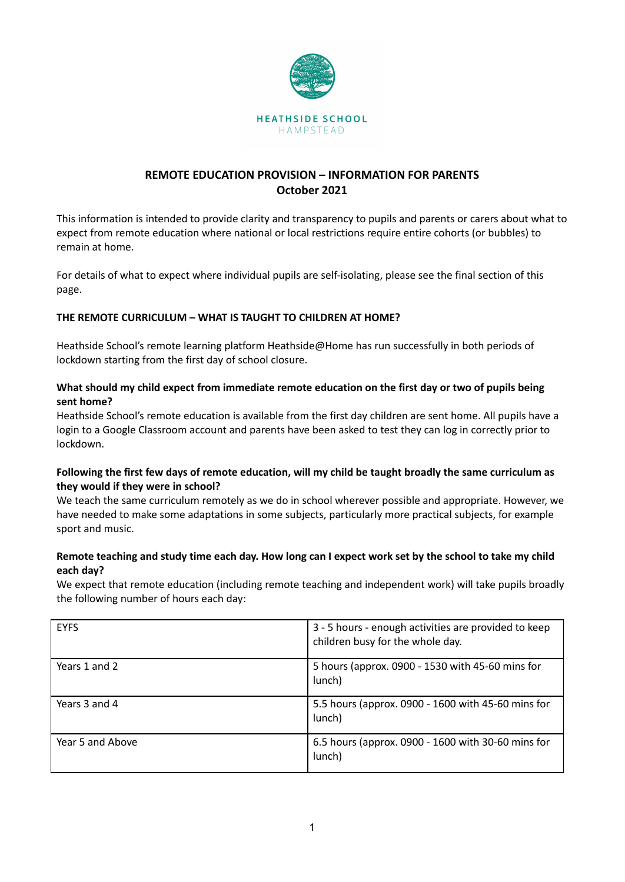

# **REMOTE EDUCATION PROVISION – INFORMATION FOR PARENTS October 2021**

This information is intended to provide clarity and transparency to pupils and parents or carers about what to expect from remote education where national or local restrictions require entire cohorts (or bubbles) to remain at home.

For details of what to expect where individual pupils are self-isolating, please see the final section of this page.

# **THE REMOTE CURRICULUM – WHAT IS TAUGHT TO CHILDREN AT HOME?**

Heathside School's remote learning platform Heathside@Home has run successfully in both periods of lockdown starting from the first day of school closure.

### What should my child expect from immediate remote education on the first day or two of pupils being **sent home?**

Heathside School's remote education is available from the first day children are sent home. All pupils have a login to a Google Classroom account and parents have been asked to test they can log in correctly prior to lockdown.

# Following the first few days of remote education, will my child be taught broadly the same curriculum as **they would if they were in school?**

We teach the same curriculum remotely as we do in school wherever possible and appropriate. However, we have needed to make some adaptations in some subjects, particularly more practical subjects, for example sport and music.

### Remote teaching and study time each day. How long can I expect work set by the school to take my child **each day?**

We expect that remote education (including remote teaching and independent work) will take pupils broadly the following number of hours each day:

| <b>EYFS</b>      | 3 - 5 hours - enough activities are provided to keep<br>children busy for the whole day. |
|------------------|------------------------------------------------------------------------------------------|
| Years 1 and 2    | 5 hours (approx. 0900 - 1530 with 45-60 mins for<br>lunch)                               |
| Years 3 and 4    | 5.5 hours (approx. 0900 - 1600 with 45-60 mins for<br>lunch)                             |
| Year 5 and Above | 6.5 hours (approx. 0900 - 1600 with 30-60 mins for<br>lunch)                             |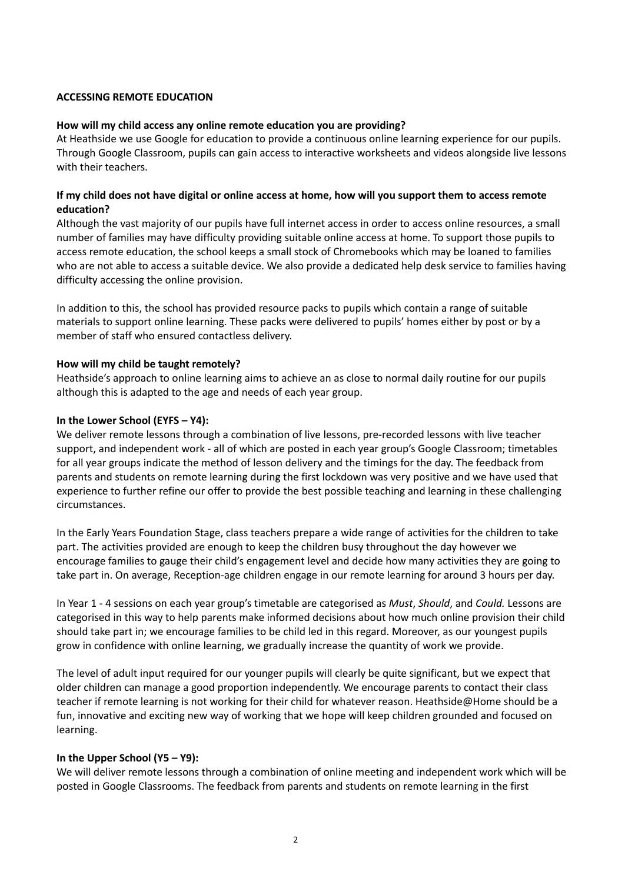#### **ACCESSING REMOTE EDUCATION**

#### **How will my child access any online remote education you are providing?**

At Heathside we use Google for education to provide a continuous online learning experience for our pupils. Through Google Classroom, pupils can gain access to interactive worksheets and videos alongside live lessons with their teachers.

#### If my child does not have digital or online access at home, how will you support them to access remote **education?**

Although the vast majority of our pupils have full internet access in order to access online resources, a small number of families may have difficulty providing suitable online access at home. To support those pupils to access remote education, the school keeps a small stock of Chromebooks which may be loaned to families who are not able to access a suitable device. We also provide a dedicated help desk service to families having difficulty accessing the online provision.

In addition to this, the school has provided resource packs to pupils which contain a range of suitable materials to support online learning. These packs were delivered to pupils' homes either by post or by a member of staff who ensured contactless delivery.

#### **How will my child be taught remotely?**

Heathside's approach to online learning aims to achieve an as close to normal daily routine for our pupils although this is adapted to the age and needs of each year group.

#### **In the Lower School (EYFS – Y4):**

We deliver remote lessons through a combination of live lessons, pre-recorded lessons with live teacher support, and independent work - all of which are posted in each year group's Google Classroom; timetables for all year groups indicate the method of lesson delivery and the timings for the day. The feedback from parents and students on remote learning during the first lockdown was very positive and we have used that experience to further refine our offer to provide the best possible teaching and learning in these challenging circumstances.

In the Early Years Foundation Stage, class teachers prepare a wide range of activities for the children to take part. The activities provided are enough to keep the children busy throughout the day however we encourage families to gauge their child's engagement level and decide how many activities they are going to take part in. On average, Reception-age children engage in our remote learning for around 3 hours per day.

In Year 1 - 4 sessions on each year group's timetable are categorised as *Must*, *Should*, and *Could.* Lessons are categorised in this way to help parents make informed decisions about how much online provision their child should take part in; we encourage families to be child led in this regard. Moreover, as our youngest pupils grow in confidence with online learning, we gradually increase the quantity of work we provide.

The level of adult input required for our younger pupils will clearly be quite significant, but we expect that older children can manage a good proportion independently. We encourage parents to contact their class teacher if remote learning is not working for their child for whatever reason. Heathside@Home should be a fun, innovative and exciting new way of working that we hope will keep children grounded and focused on learning.

#### **In the Upper School (Y5 – Y9):**

We will deliver remote lessons through a combination of online meeting and independent work which will be posted in Google Classrooms. The feedback from parents and students on remote learning in the first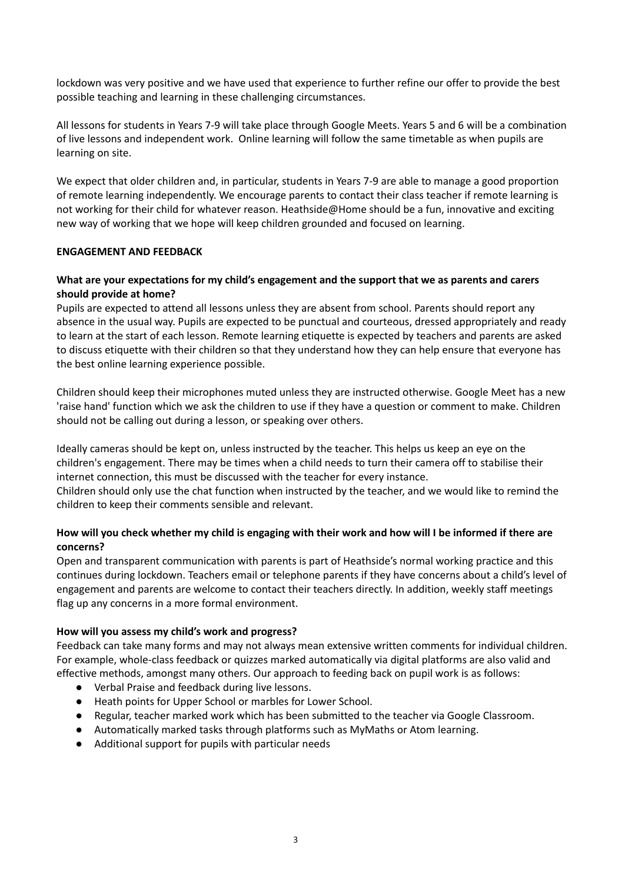lockdown was very positive and we have used that experience to further refine our offer to provide the best possible teaching and learning in these challenging circumstances.

All lessons for students in Years 7-9 will take place through Google Meets. Years 5 and 6 will be a combination of live lessons and independent work. Online learning will follow the same timetable as when pupils are learning on site.

We expect that older children and, in particular, students in Years 7-9 are able to manage a good proportion of remote learning independently. We encourage parents to contact their class teacher if remote learning is not working for their child for whatever reason. Heathside@Home should be a fun, innovative and exciting new way of working that we hope will keep children grounded and focused on learning.

#### **ENGAGEMENT AND FEEDBACK**

# **What are your expectations for my child's engagement and the support that we as parents and carers should provide at home?**

Pupils are expected to attend all lessons unless they are absent from school. Parents should report any absence in the usual way. Pupils are expected to be punctual and courteous, dressed appropriately and ready to learn at the start of each lesson. Remote learning etiquette is expected by teachers and parents are asked to discuss etiquette with their children so that they understand how they can help ensure that everyone has the best online learning experience possible.

Children should keep their microphones muted unless they are instructed otherwise. Google Meet has a new 'raise hand' function which we ask the children to use if they have a question or comment to make. Children should not be calling out during a lesson, or speaking over others.

Ideally cameras should be kept on, unless instructed by the teacher. This helps us keep an eye on the children's engagement. There may be times when a child needs to turn their camera off to stabilise their internet connection, this must be discussed with the teacher for every instance.

Children should only use the chat function when instructed by the teacher, and we would like to remind the children to keep their comments sensible and relevant.

# How will you check whether my child is engaging with their work and how will I be informed if there are **concerns?**

Open and transparent communication with parents is part of Heathside's normal working practice and this continues during lockdown. Teachers email or telephone parents if they have concerns about a child's level of engagement and parents are welcome to contact their teachers directly. In addition, weekly staff meetings flag up any concerns in a more formal environment.

#### **How will you assess my child's work and progress?**

Feedback can take many forms and may not always mean extensive written comments for individual children. For example, whole-class feedback or quizzes marked automatically via digital platforms are also valid and effective methods, amongst many others. Our approach to feeding back on pupil work is as follows:

- Verbal Praise and feedback during live lessons.
- Heath points for Upper School or marbles for Lower School.
- Regular, teacher marked work which has been submitted to the teacher via Google Classroom.
- Automatically marked tasks through platforms such as MyMaths or Atom learning.
- Additional support for pupils with particular needs